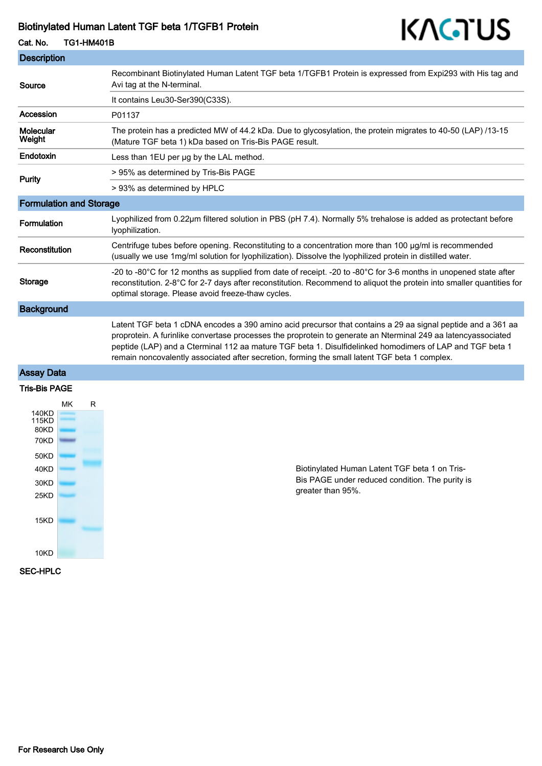## Biotinylated Human Latent TGF beta 1/TGFB1 Protein

# KAGTUS

| Cat. No.                       | <b>TG1-HM401B</b> | .                                                                                                                                                                                                                                                                                                                                                                                                                                         |
|--------------------------------|-------------------|-------------------------------------------------------------------------------------------------------------------------------------------------------------------------------------------------------------------------------------------------------------------------------------------------------------------------------------------------------------------------------------------------------------------------------------------|
| <b>Description</b>             |                   |                                                                                                                                                                                                                                                                                                                                                                                                                                           |
| Source                         |                   | Recombinant Biotinylated Human Latent TGF beta 1/TGFB1 Protein is expressed from Expi293 with His tag and<br>Avi tag at the N-terminal.                                                                                                                                                                                                                                                                                                   |
|                                |                   | It contains Leu30-Ser390(C33S).                                                                                                                                                                                                                                                                                                                                                                                                           |
| Accession                      |                   | P01137                                                                                                                                                                                                                                                                                                                                                                                                                                    |
| Molecular<br>Weight            |                   | The protein has a predicted MW of 44.2 kDa. Due to glycosylation, the protein migrates to 40-50 (LAP) /13-15<br>(Mature TGF beta 1) kDa based on Tris-Bis PAGE result.                                                                                                                                                                                                                                                                    |
| Endotoxin                      |                   | Less than 1EU per ug by the LAL method.                                                                                                                                                                                                                                                                                                                                                                                                   |
| <b>Purity</b>                  |                   | > 95% as determined by Tris-Bis PAGE                                                                                                                                                                                                                                                                                                                                                                                                      |
|                                |                   | > 93% as determined by HPLC                                                                                                                                                                                                                                                                                                                                                                                                               |
| <b>Formulation and Storage</b> |                   |                                                                                                                                                                                                                                                                                                                                                                                                                                           |
| <b>Formulation</b>             |                   | Lyophilized from 0.22µm filtered solution in PBS (pH 7.4). Normally 5% trehalose is added as protectant before<br>lyophilization.                                                                                                                                                                                                                                                                                                         |
| Reconstitution                 |                   | Centrifuge tubes before opening. Reconstituting to a concentration more than 100 µg/ml is recommended<br>(usually we use 1mg/ml solution for lyophilization). Dissolve the lyophilized protein in distilled water.                                                                                                                                                                                                                        |
| <b>Storage</b>                 |                   | -20 to -80°C for 12 months as supplied from date of receipt. -20 to -80°C for 3-6 months in unopened state after<br>reconstitution. 2-8°C for 2-7 days after reconstitution. Recommend to aliquot the protein into smaller quantities for<br>optimal storage. Please avoid freeze-thaw cycles.                                                                                                                                            |
| <b>Background</b>              |                   |                                                                                                                                                                                                                                                                                                                                                                                                                                           |
|                                |                   | Latent TGF beta 1 cDNA encodes a 390 amino acid precursor that contains a 29 aa signal peptide and a 361 aa<br>proprotein. A furinlike convertase processes the proprotein to generate an Nterminal 249 aa latencyassociated<br>peptide (LAP) and a Cterminal 112 aa mature TGF beta 1. Disulfidelinked homodimers of LAP and TGF beta 1<br>remain noncovalently associated after secretion, forming the small latent TGF beta 1 complex. |
| <b>Assay Data</b>              |                   |                                                                                                                                                                                                                                                                                                                                                                                                                                           |

#### Tris-Bis PAGE



Biotinylated Human Latent TGF beta 1 on Tris-Bis PAGE under reduced condition. The purity is greater than 95%.